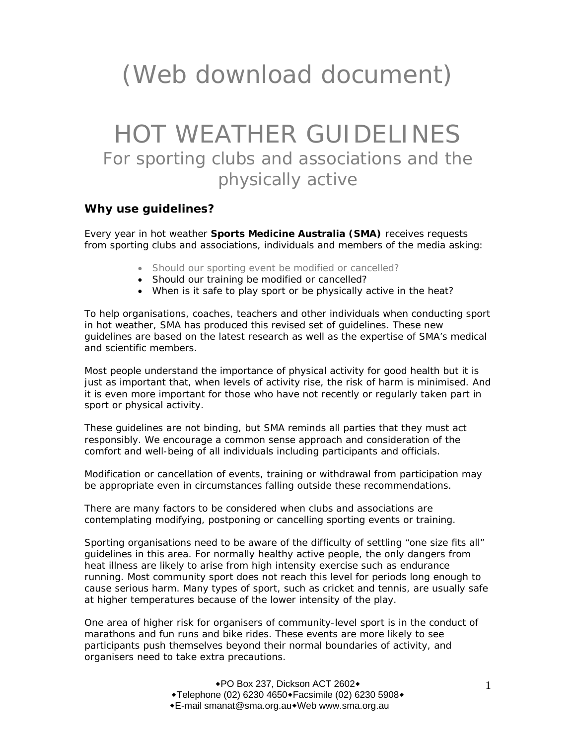# (Web download document)

## HOT WEATHER GUIDELINES For sporting clubs and associations and the physically active

#### **Why use guidelines?**

Every year in hot weather **Sports Medicine Australia (SMA)** receives requests from sporting clubs and associations, individuals and members of the media asking:

- Should our sporting event be modified or cancelled?
- Should our training be modified or cancelled?
- When is it safe to play sport or be physically active in the heat?

To help organisations, coaches, teachers and other individuals when conducting sport in hot weather, SMA has produced this revised set of guidelines. These new guidelines are based on the latest research as well as the expertise of SMA's medical and scientific members.

Most people understand the importance of physical activity for good health but it is just as important that, when levels of activity rise, the risk of harm is minimised. And it is even more important for those who have not recently or regularly taken part in sport or physical activity.

These guidelines are not binding, but SMA reminds all parties that they must act responsibly. We encourage a common sense approach and consideration of the comfort and well-being of all individuals including participants and officials.

Modification or cancellation of events, training or withdrawal from participation may be appropriate even in circumstances falling outside these recommendations.

There are many factors to be considered when clubs and associations are contemplating modifying, postponing or cancelling sporting events or training.

Sporting organisations need to be aware of the difficulty of settling "one size fits all" guidelines in this area. For normally healthy active people, the only dangers from heat illness are likely to arise from high intensity exercise such as endurance running. Most community sport does not reach this level for periods long enough to cause serious harm. Many types of sport, such as cricket and tennis, are usually safe at higher temperatures because of the lower intensity of the play.

One area of higher risk for organisers of community-level sport is in the conduct of marathons and fun runs and bike rides. These events are more likely to see participants push themselves beyond their normal boundaries of activity, and organisers need to take extra precautions.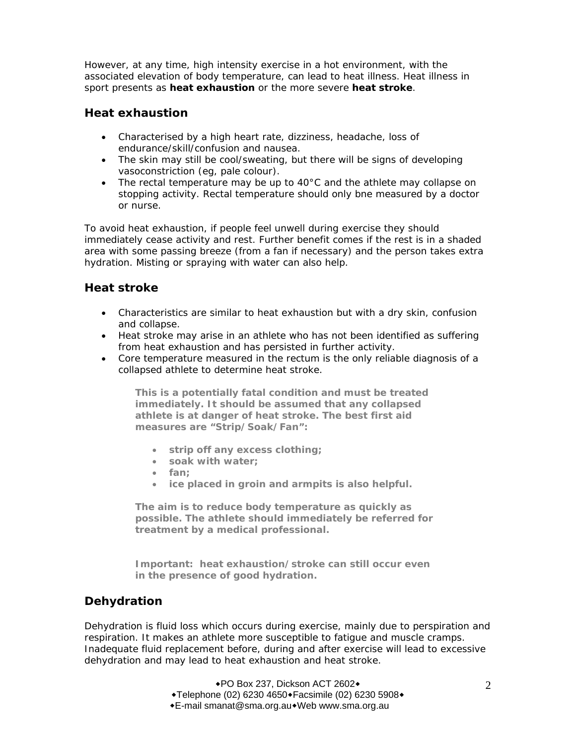However, at any time, high intensity exercise in a hot environment, with the associated elevation of body temperature, can lead to heat illness. Heat illness in sport presents as **heat exhaustion** or the more severe **heat stroke**.

#### **Heat exhaustion**

- Characterised by a high heart rate, dizziness, headache, loss of endurance/skill/confusion and nausea.
- The skin may still be cool/sweating, but there will be signs of developing vasoconstriction (eg, pale colour).
- The rectal temperature may be up to  $40^{\circ}$ C and the athlete may collapse on stopping activity. Rectal temperature should only bne measured by a doctor or nurse.

To avoid heat exhaustion, if people feel unwell during exercise they should immediately cease activity and rest. Further benefit comes if the rest is in a shaded area with some passing breeze (from a fan if necessary) and the person takes extra hydration. Misting or spraying with water can also help.

#### **Heat stroke**

- Characteristics are similar to heat exhaustion but with a dry skin, confusion and collapse.
- Heat stroke may arise in an athlete who has not been identified as suffering from heat exhaustion and has persisted in further activity.
- Core temperature measured in the rectum is the only reliable diagnosis of a collapsed athlete to determine heat stroke.

**This is a potentially fatal condition and must be treated immediately. It should be assumed that any collapsed athlete is at danger of heat stroke. The best first aid measures are "Strip/Soak/Fan":** 

- **strip off any excess clothing;**
- **soak with water;**
- **fan;**
- **ice placed in groin and armpits is also helpful.**

**The aim is to reduce body temperature as quickly as possible. The athlete should immediately be referred for treatment by a medical professional.** 

**Important: heat exhaustion/stroke can still occur even in the presence of good hydration.** 

#### **Dehydration**

Dehydration is fluid loss which occurs during exercise, mainly due to perspiration and respiration. It makes an athlete more susceptible to fatigue and muscle cramps. Inadequate fluid replacement before, during and after exercise will lead to excessive dehydration and may lead to heat exhaustion and heat stroke.

> ◆PO Box 237, Dickson ACT 2602◆  $\overline{*}$ Telephone (02) 6230 4650 $\overline{*}$ Facsimile (02) 6230 5908 $\overline{*}$ E-mail smanat@sma.org.auWeb www.sma.org.au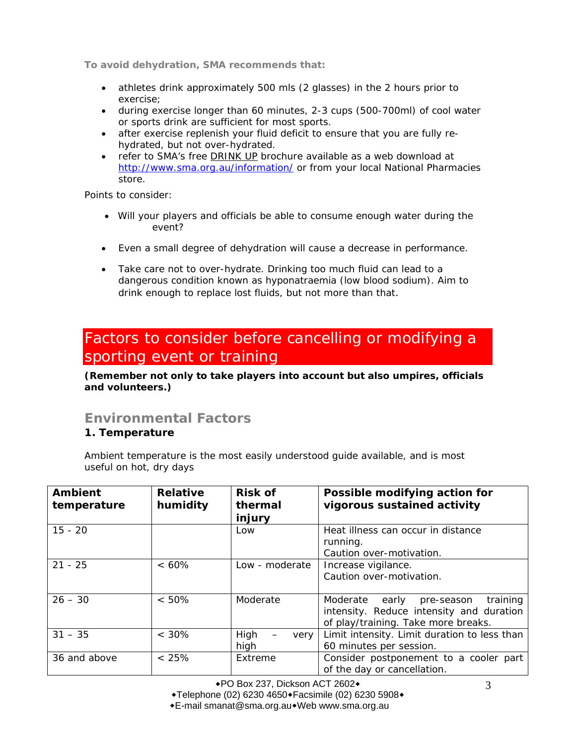**To avoid dehydration, SMA recommends that:** 

- athletes drink approximately 500 mls (2 glasses) in the 2 hours prior to exercise;
- during exercise longer than 60 minutes, 2-3 cups (500-700ml) of cool water or sports drink are sufficient for most sports.
- after exercise replenish your fluid deficit to ensure that you are fully rehydrated, but not over-hydrated.
- refer to SMA's free DRINK UP brochure available as a web download at http://www.sma.org.au/information/ or from your local National Pharmacies store.

Points to consider:

- Will your players and officials be able to consume enough water during the event?
- Even a small degree of dehydration will cause a decrease in performance.
- Take care not to over-hydrate. Drinking too much fluid can lead to a dangerous condition known as hyponatraemia (low blood sodium). Aim to drink enough to replace lost fluids, but not more than that.

## Factors to consider before cancelling or modifying a sporting event or training

**(Remember not only to take players into account but also umpires, officials and volunteers.)**

### **Environmental Factors**

#### **1. Temperature**

Ambient temperature is the most easily understood guide available, and is most useful on hot, dry days

| <b>Ambient</b><br>temperature | <b>Relative</b><br>humidity | <b>Risk of</b><br>thermal<br>injury | Possible modifying action for<br>vigorous sustained activity                                                                   |
|-------------------------------|-----------------------------|-------------------------------------|--------------------------------------------------------------------------------------------------------------------------------|
| $15 - 20$                     |                             | Low                                 | Heat illness can occur in distance<br>running.<br>Caution over-motivation.                                                     |
| $21 - 25$                     | $< 60\%$                    | Low - moderate                      | Increase vigilance.<br>Caution over-motivation.                                                                                |
| $26 - 30$                     | $< 50\%$                    | Moderate                            | training<br>Moderate<br>early<br>pre-season<br>intensity. Reduce intensity and duration<br>of play/training. Take more breaks. |
| $31 - 35$                     | $< 30\%$                    | High<br>very<br>high                | Limit intensity. Limit duration to less than<br>60 minutes per session.                                                        |
| 36 and above                  | < 25%                       | Extreme                             | Consider postponement to a cooler part<br>of the day or cancellation.                                                          |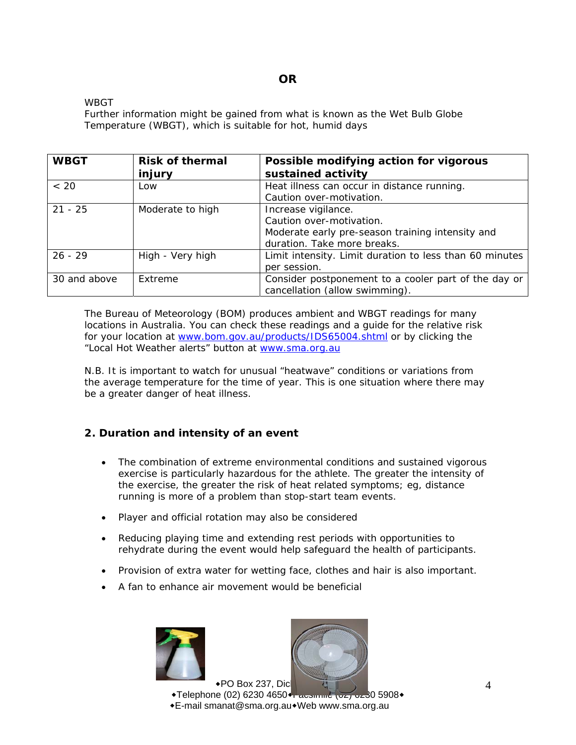#### **OR**

WBGT

Further information might be gained from what is known as the Wet Bulb Globe Temperature (WBGT), which is suitable for hot, humid days

| <b>WBGT</b>  | <b>Risk of thermal</b><br>injury | Possible modifying action for vigorous<br>sustained activity                                                                       |
|--------------|----------------------------------|------------------------------------------------------------------------------------------------------------------------------------|
| < 20         | Low                              | Heat illness can occur in distance running.<br>Caution over-motivation.                                                            |
| $21 - 25$    | Moderate to high                 | Increase vigilance.<br>Caution over-motivation.<br>Moderate early pre-season training intensity and<br>duration. Take more breaks. |
| $26 - 29$    | High - Very high                 | Limit intensity. Limit duration to less than 60 minutes<br>per session.                                                            |
| 30 and above | Extreme                          | Consider postponement to a cooler part of the day or<br>cancellation (allow swimming).                                             |

The Bureau of Meteorology (BOM) produces ambient and WBGT readings for many locations in Australia. You can check these readings and a guide for the relative risk for your location at www.bom.gov.au/products/IDS65004.shtml or by clicking the "Local Hot Weather alerts" button at www.sma.org.au

N.B. It is important to watch for unusual "heatwave" conditions or variations from the average temperature for the time of year. This is one situation where there may be a greater danger of heat illness.

#### **2. Duration and intensity of an event**

- The combination of extreme environmental conditions and sustained vigorous exercise is particularly hazardous for the athlete. The greater the intensity of the exercise, the greater the risk of heat related symptoms; eg, distance running is more of a problem than stop-start team events.
- Player and official rotation may also be considered
- Reducing playing time and extending rest periods with opportunities to rehydrate during the event would help safeguard the health of participants.
- Provision of extra water for wetting face, clothes and hair is also important.
- A fan to enhance air movement would be beneficial





 $\bullet$  PO Box 237, Dicks  $\text{+}$ Telephone (02) 6230 4650 $\text{+}$  acsimile (02) 0230 5908 $\text{+}$ E-mail smanat@sma.org.auWeb www.sma.org.au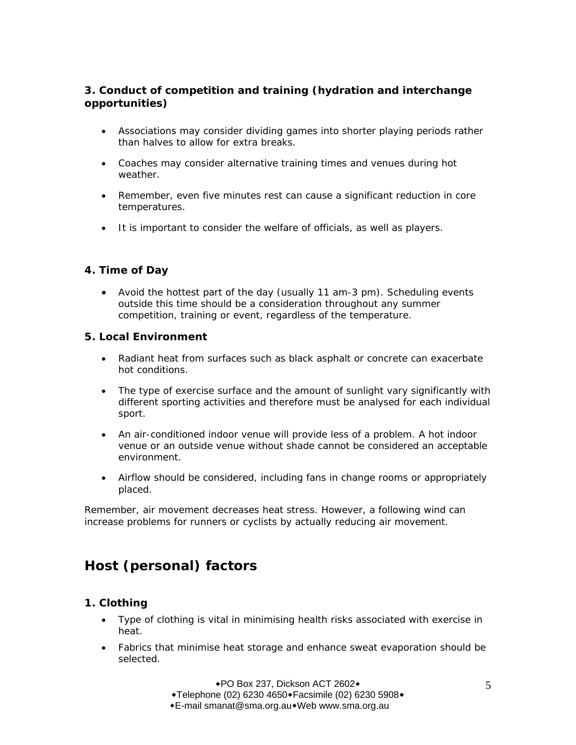#### **3. Conduct of competition and training (hydration and interchange opportunities)**

- Associations may consider dividing games into shorter playing periods rather than halves to allow for extra breaks.
- Coaches may consider alternative training times and venues during hot weather.
- Remember, even five minutes rest can cause a significant reduction in core temperatures.
- It is important to consider the welfare of officials, as well as players.

#### **4. Time of Day**

• Avoid the hottest part of the day (usually 11 am-3 pm). Scheduling events outside this time should be a consideration throughout any summer competition, training or event, regardless of the temperature.

#### **5. Local Environment**

- Radiant heat from surfaces such as black asphalt or concrete can exacerbate hot conditions.
- The type of exercise surface and the amount of sunlight vary significantly with different sporting activities and therefore must be analysed for each individual sport.
- An air-conditioned indoor venue will provide less of a problem. A hot indoor venue or an outside venue without shade cannot be considered an acceptable environment.
- Airflow should be considered, including fans in change rooms or appropriately placed.

Remember, air movement decreases heat stress. However, a following wind can increase problems for runners or cyclists by actually reducing air movement.

## **Host (personal) factors**

#### **1. Clothing**

- Type of clothing is vital in minimising health risks associated with exercise in heat.
- Fabrics that minimise heat storage and enhance sweat evaporation should be selected.

◆PO Box 237, Dickson ACT 2602◆  $\overline{*}$ Telephone (02) 6230 4650 $\overline{*}$ Facsimile (02) 6230 5908 $\overline{*}$ E-mail smanat@sma.org.auWeb www.sma.org.au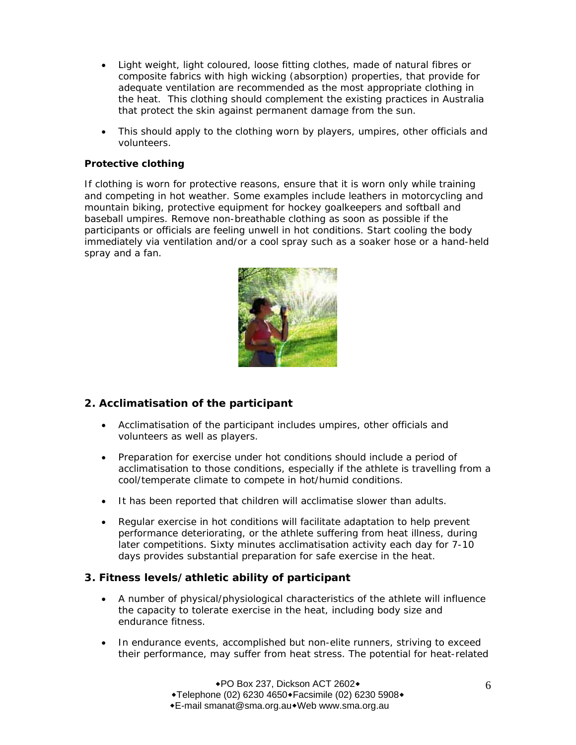- Light weight, light coloured, loose fitting clothes, made of natural fibres or composite fabrics with high wicking (absorption) properties, that provide for adequate ventilation are recommended as the most appropriate clothing in the heat. This clothing should complement the existing practices in Australia that protect the skin against permanent damage from the sun.
- This should apply to the clothing worn by players, umpires, other officials and volunteers.

#### **Protective clothing**

If clothing is worn for protective reasons, ensure that it is worn only while training and competing in hot weather. Some examples include leathers in motorcycling and mountain biking, protective equipment for hockey goalkeepers and softball and baseball umpires. Remove non-breathable clothing as soon as possible if the participants or officials are feeling unwell in hot conditions. Start cooling the body immediately via ventilation and/or a cool spray such as a soaker hose or a hand-held spray and a fan.



#### **2. Acclimatisation of the participant**

- Acclimatisation of the participant includes umpires, other officials and volunteers as well as players.
- Preparation for exercise under hot conditions should include a period of acclimatisation to those conditions, especially if the athlete is travelling from a cool/temperate climate to compete in hot/humid conditions.
- It has been reported that children will acclimatise slower than adults.
- Regular exercise in hot conditions will facilitate adaptation to help prevent performance deteriorating, or the athlete suffering from heat illness, during later competitions. Sixty minutes acclimatisation activity each day for 7-10 days provides substantial preparation for safe exercise in the heat.

#### **3. Fitness levels/athletic ability of participant**

- A number of physical/physiological characteristics of the athlete will influence the capacity to tolerate exercise in the heat, including body size and endurance fitness.
- In endurance events, accomplished but non-elite runners, striving to exceed their performance, may suffer from heat stress. The potential for heat-related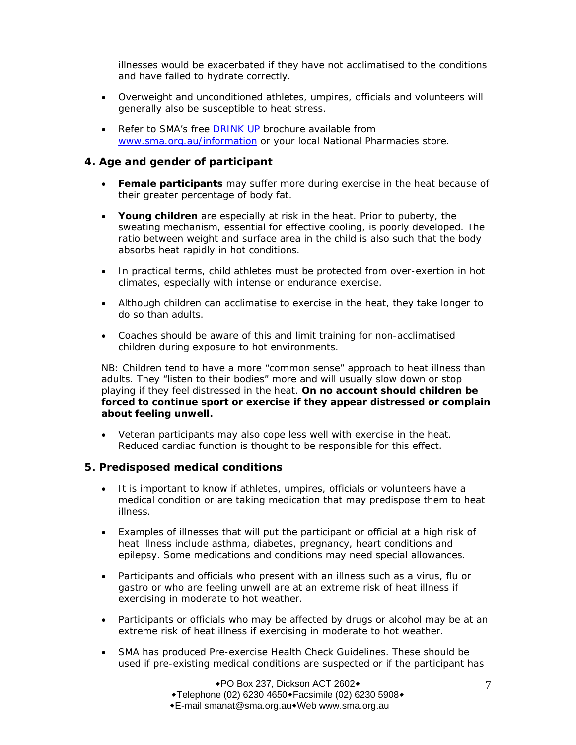illnesses would be exacerbated if they have not acclimatised to the conditions and have failed to hydrate correctly.

- Overweight and unconditioned athletes, umpires, officials and volunteers will generally also be susceptible to heat stress.
- Refer to SMA's free DRINK UP brochure available from www.sma.org.au/information or your local National Pharmacies store.

#### **4. Age and gender of participant**

- **Female participants** may suffer more during exercise in the heat because of their greater percentage of body fat.
- **Young children** are especially at risk in the heat. Prior to puberty, the sweating mechanism, essential for effective cooling, is poorly developed. The ratio between weight and surface area in the child is also such that the body absorbs heat rapidly in hot conditions.
- In practical terms, child athletes must be protected from over-exertion in hot climates, especially with intense or endurance exercise.
- Although children can acclimatise to exercise in the heat, they take longer to do so than adults.
- Coaches should be aware of this and limit training for non-acclimatised children during exposure to hot environments.

NB: Children tend to have a more "common sense" approach to heat illness than adults. They "listen to their bodies" more and will usually slow down or stop playing if they feel distressed in the heat. *On no account should children be forced to continue sport or exercise if they appear distressed or complain about feeling unwell.* 

• Veteran participants may also cope less well with exercise in the heat. Reduced cardiac function is thought to be responsible for this effect.

#### **5. Predisposed medical conditions**

- It is important to know if athletes, umpires, officials or volunteers have a medical condition or are taking medication that may predispose them to heat illness.
- Examples of illnesses that will put the participant or official at a high risk of heat illness include asthma, diabetes, pregnancy, heart conditions and epilepsy. Some medications and conditions may need special allowances.
- Participants and officials who present with an illness such as a virus, flu or gastro or who are feeling unwell are at an extreme risk of heat illness if exercising in moderate to hot weather.
- Participants or officials who may be affected by drugs or alcohol may be at an extreme risk of heat illness if exercising in moderate to hot weather.
- SMA has produced Pre-exercise Health Check Guidelines. These should be used if pre-existing medical conditions are suspected or if the participant has

◆PO Box 237, Dickson ACT 2602◆  $\overline{*}$ Telephone (02) 6230 4650 $\overline{*}$ Facsimile (02) 6230 5908 $\overline{*}$ E-mail smanat@sma.org.auWeb www.sma.org.au